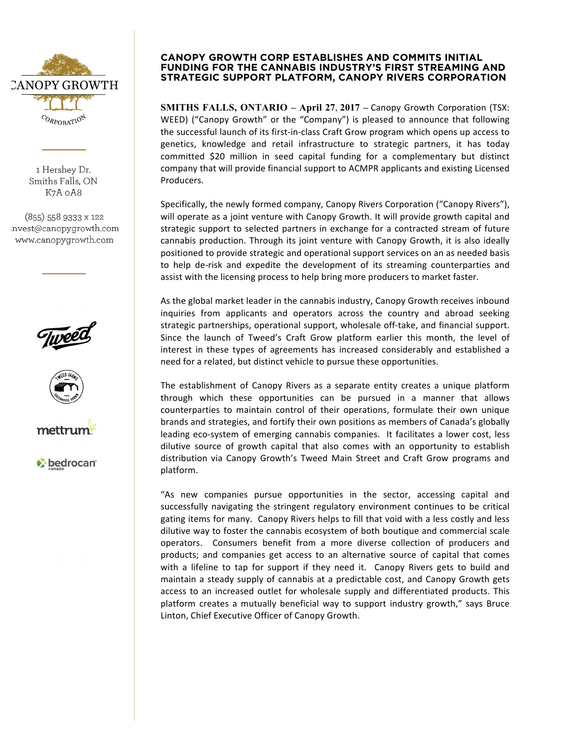

1 Hershey Dr. Smiths Falls, ON K7A 0A8

(855) 558 9333 x 122 invest@canopygrowth.com www.canopygrowth.com







*C* bedrocan

## **CANOPY GROWTH CORP ESTABLISHES AND COMMITS INITIAL FUNDING FOR THE CANNABIS INDUSTRY'S FIRST STREAMING AND STRATEGIC SUPPORT PLATFORM, CANOPY RIVERS CORPORATION**

**SMITHS FALLS, ONTARIO - April 27, 2017 - Canopy Growth Corporation (TSX:** WEED) ("Canopy Growth" or the "Company") is pleased to announce that following the successful launch of its first-in-class Craft Grow program which opens up access to genetics, knowledge and retail infrastructure to strategic partners, it has today committed \$20 million in seed capital funding for a complementary but distinct company that will provide financial support to ACMPR applicants and existing Licensed Producers. 

Specifically, the newly formed company, Canopy Rivers Corporation ("Canopy Rivers"), will operate as a joint venture with Canopy Growth. It will provide growth capital and strategic support to selected partners in exchange for a contracted stream of future cannabis production. Through its joint venture with Canopy Growth, it is also ideally positioned to provide strategic and operational support services on an as needed basis to help de-risk and expedite the development of its streaming counterparties and assist with the licensing process to help bring more producers to market faster.

As the global market leader in the cannabis industry, Canopy Growth receives inbound inquiries from applicants and operators across the country and abroad seeking strategic partnerships, operational support, wholesale off-take, and financial support. Since the launch of Tweed's Craft Grow platform earlier this month, the level of interest in these types of agreements has increased considerably and established a need for a related, but distinct vehicle to pursue these opportunities.

The establishment of Canopy Rivers as a separate entity creates a unique platform through which these opportunities can be pursued in a manner that allows counterparties to maintain control of their operations, formulate their own unique brands and strategies, and fortify their own positions as members of Canada's globally leading eco-system of emerging cannabis companies. It facilitates a lower cost, less dilutive source of growth capital that also comes with an opportunity to establish distribution via Canopy Growth's Tweed Main Street and Craft Grow programs and platform. 

"As new companies pursue opportunities in the sector, accessing capital and successfully navigating the stringent regulatory environment continues to be critical gating items for many. Canopy Rivers helps to fill that void with a less costly and less dilutive way to foster the cannabis ecosystem of both boutique and commercial scale operators. Consumers benefit from a more diverse collection of producers and products; and companies get access to an alternative source of capital that comes with a lifeline to tap for support if they need it. Canopy Rivers gets to build and maintain a steady supply of cannabis at a predictable cost, and Canopy Growth gets access to an increased outlet for wholesale supply and differentiated products. This platform creates a mutually beneficial way to support industry growth," says Bruce Linton, Chief Executive Officer of Canopy Growth.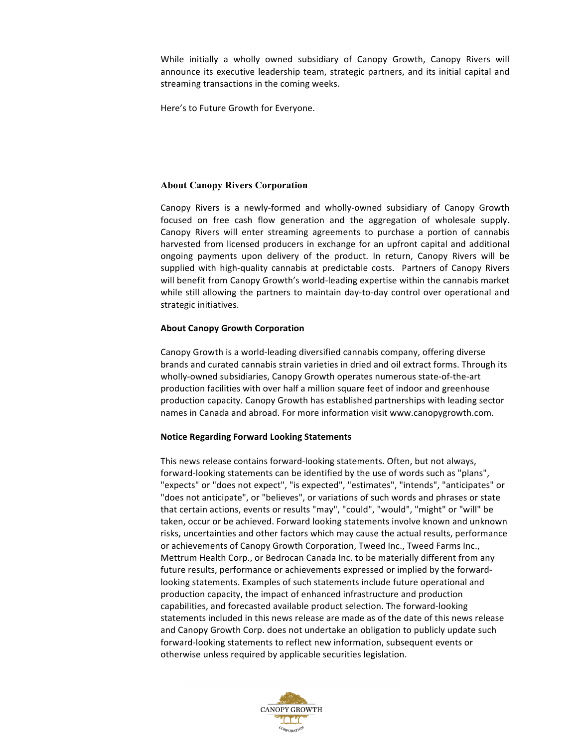While initially a wholly owned subsidiary of Canopy Growth, Canopy Rivers will announce its executive leadership team, strategic partners, and its initial capital and streaming transactions in the coming weeks.

Here's to Future Growth for Everyone.

## **About Canopy Rivers Corporation**

Canopy Rivers is a newly-formed and wholly-owned subsidiary of Canopy Growth focused on free cash flow generation and the aggregation of wholesale supply. Canopy Rivers will enter streaming agreements to purchase a portion of cannabis harvested from licensed producers in exchange for an upfront capital and additional ongoing payments upon delivery of the product. In return, Canopy Rivers will be supplied with high-quality cannabis at predictable costs. Partners of Canopy Rivers will benefit from Canopy Growth's world-leading expertise within the cannabis market while still allowing the partners to maintain day-to-day control over operational and strategic initiatives.

### **About Canopy Growth Corporation**

Canopy Growth is a world-leading diversified cannabis company, offering diverse brands and curated cannabis strain varieties in dried and oil extract forms. Through its wholly-owned subsidiaries, Canopy Growth operates numerous state-of-the-art production facilities with over half a million square feet of indoor and greenhouse production capacity. Canopy Growth has established partnerships with leading sector names in Canada and abroad. For more information visit www.canopygrowth.com.

#### **Notice Regarding Forward Looking Statements**

This news release contains forward-looking statements. Often, but not always, forward-looking statements can be identified by the use of words such as "plans", "expects" or "does not expect", "is expected", "estimates", "intends", "anticipates" or "does not anticipate", or "believes", or variations of such words and phrases or state that certain actions, events or results "may", "could", "would", "might" or "will" be taken, occur or be achieved. Forward looking statements involve known and unknown risks, uncertainties and other factors which may cause the actual results, performance or achievements of Canopy Growth Corporation, Tweed Inc., Tweed Farms Inc., Mettrum Health Corp., or Bedrocan Canada Inc. to be materially different from any future results, performance or achievements expressed or implied by the forwardlooking statements. Examples of such statements include future operational and production capacity, the impact of enhanced infrastructure and production capabilities, and forecasted available product selection. The forward-looking statements included in this news release are made as of the date of this news release and Canopy Growth Corp. does not undertake an obligation to publicly update such forward-looking statements to reflect new information, subsequent events or otherwise unless required by applicable securities legislation.